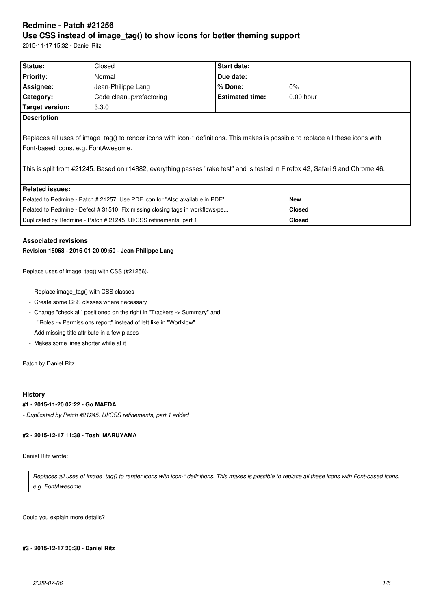# **Redmine - Patch #21256 Use CSS instead of image\_tag() to show icons for better theming support**

Duplicated by Redmine - Patch # 21245: UI/CSS refinements, part 1 **Closed**

2015-11-17 15:32 - Daniel Ritz

| Status:                                                                                                                                                                                                                                                                                                   | Closed                                                                        | <b>Start date:</b>     |               |  |  |
|-----------------------------------------------------------------------------------------------------------------------------------------------------------------------------------------------------------------------------------------------------------------------------------------------------------|-------------------------------------------------------------------------------|------------------------|---------------|--|--|
| <b>Priority:</b>                                                                                                                                                                                                                                                                                          | Normal                                                                        | Due date:              |               |  |  |
| Assignee:                                                                                                                                                                                                                                                                                                 | Jean-Philippe Lang                                                            | $%$ Done:              | $0\%$         |  |  |
| Category:                                                                                                                                                                                                                                                                                                 | Code cleanup/refactoring                                                      | <b>Estimated time:</b> | $0.00$ hour   |  |  |
| Target version:                                                                                                                                                                                                                                                                                           | 3.3.0                                                                         |                        |               |  |  |
| <b>Description</b>                                                                                                                                                                                                                                                                                        |                                                                               |                        |               |  |  |
| Replaces all uses of image tag() to render icons with icon-* definitions. This makes is possible to replace all these icons with<br>Font-based icons, e.g. FontAwesome.<br>This is split from #21245. Based on r14882, everything passes "rake test" and is tested in Firefox 42, Safari 9 and Chrome 46. |                                                                               |                        |               |  |  |
| <b>Related issues:</b>                                                                                                                                                                                                                                                                                    |                                                                               |                        |               |  |  |
|                                                                                                                                                                                                                                                                                                           | Related to Redmine - Patch # 21257: Use PDF icon for "Also available in PDF"  |                        | <b>New</b>    |  |  |
|                                                                                                                                                                                                                                                                                                           | Related to Redmine - Defect # 31510: Fix missing closing tags in workflows/pe |                        | <b>Closed</b> |  |  |

## **Associated revisions**

## **Revision 15068 - 2016-01-20 09:50 - Jean-Philippe Lang**

Replace uses of image\_tag() with CSS (#21256).

- Replace image\_tag() with CSS classes
- Create some CSS classes where necessary
- Change "check all" positioned on the right in "Trackers -> Summary" and "Roles -> Permissions report" instead of left like in "Worfklow"
- Add missing title attribute in a few places
- Makes some lines shorter while at it

Patch by Daniel Ritz.

## **History**

#### **#1 - 2015-11-20 02:22 - Go MAEDA**

*- Duplicated by Patch #21245: UI/CSS refinements, part 1 added*

## **#2 - 2015-12-17 11:38 - Toshi MARUYAMA**

Daniel Ritz wrote:

*Replaces all uses of image\_tag() to render icons with icon-\* definitions. This makes is possible to replace all these icons with Font-based icons, e.g. FontAwesome.*

Could you explain more details?

#### **#3 - 2015-12-17 20:30 - Daniel Ritz**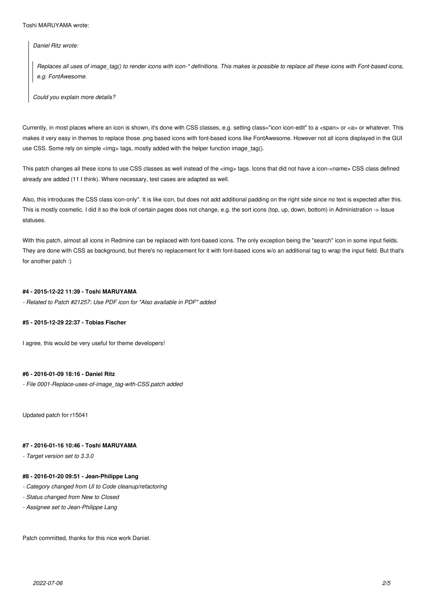*Daniel Ritz wrote:*

*Replaces all uses of image\_tag() to render icons with icon-\* definitions. This makes is possible to replace all these icons with Font-based icons, e.g. FontAwesome.*

*Could you explain more details?*

Currently, in most places where an icon is shown, it's done with CSS classes, e.g. setting class="icon icon-edit" to a <span> or <a> or whatever. This makes it very easy in themes to replace those .png based icons with font-based icons like FontAwesome. However not all icons displayed in the GUI use CSS. Some rely on simple  $\leq$ ima $>$  tags, mostly added with the helper function image tag().

This patch changes all these icons to use CSS classes as well instead of the <img> tags. Icons that did not have a icon-<name> CSS class defined already are added (11 I think). Where necessary, test cases are adapted as well.

Also, this introduces the CSS class icon-only". It is like icon, but does not add additional padding on the right side since no text is expected after this. This is mostly cosmetic. I did it so the look of certain pages does not change, e.g. the sort icons (top, up, down, bottom) in Administration -> Issue statuses.

With this patch, almost all icons in Redmine can be replaced with font-based icons. The only exception being the "search" icon in some input fields. They are done with CSS as background, but there's no replacement for it with font-based icons w/o an additional tag to wrap the input field. But that's for another patch :)

#### **#4 - 2015-12-22 11:39 - Toshi MARUYAMA**

*- Related to Patch #21257: Use PDF icon for "Also available in PDF" added*

#### **#5 - 2015-12-29 22:37 - Tobias Fischer**

I agree, this would be very useful for theme developers!

#### **#6 - 2016-01-09 18:16 - Daniel Ritz**

*- File 0001-Replace-uses-of-image\_tag-with-CSS.patch added*

Updated patch for r15041

## **#7 - 2016-01-16 10:46 - Toshi MARUYAMA**

*- Target version set to 3.3.0*

#### **#8 - 2016-01-20 09:51 - Jean-Philippe Lang**

- *Category changed from UI to Code cleanup/refactoring*
- *Status changed from New to Closed*
- *Assignee set to Jean-Philippe Lang*

Patch committed, thanks for this nice work Daniel.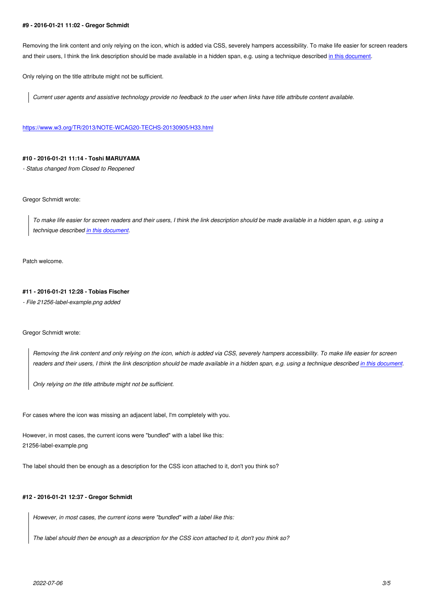Removing the link content and only relying on the icon, which is added via CSS, severely hampers accessibility. To make life easier for screen readers and their users, I think the link description should be made available in a hidden span, e.g. using a technique described in this document.

Only relying on the title attribute might not be sufficient.

*Current user agents and assistive technology provide no feedback to the user when links have title attribute content [available.](https://www.w3.org/TR/2013/NOTE-WCAG20-TECHS-20130905/C7.html)*

https://www.w3.org/TR/2013/NOTE-WCAG20-TECHS-20130905/H33.html

#### **[#10 - 2016-01-21 11:14 - Toshi MARUYAMA](https://www.w3.org/TR/2013/NOTE-WCAG20-TECHS-20130905/H33.html)**

*- Status changed from Closed to Reopened*

Gregor Schmidt wrote:

*To make life easier for screen readers and their users, I think the link description should be made available in a hidden span, e.g. using a technique described in this document.*

Patch welcome.

#### **#11 - 2016-01-21 12:28 - Tobias Fischer**

*- File 21256-label-example.png added*

#### Gregor Schmidt wrote:

*Removing the link content and only relying on the icon, which is added via CSS, severely hampers accessibility. To make life easier for screen readers and their users, I think the link description should be made available in a hidden span, e.g. using a technique described in this document.*

*Only relying on the title attribute might not be sufficient.*

For cases where the icon was missing an adjacent label, I'm completely with you.

However, in most cases, the current icons were "bundled" with a label like this: 21256-label-example.png

The label should then be enough as a description for the CSS icon attached to it, don't you think so?

#### **#12 - 2016-01-21 12:37 - Gregor Schmidt**

*However, in most cases, the current icons were "bundled" with a label like this:*

*The label should then be enough as a description for the CSS icon attached to it, don't you think so?*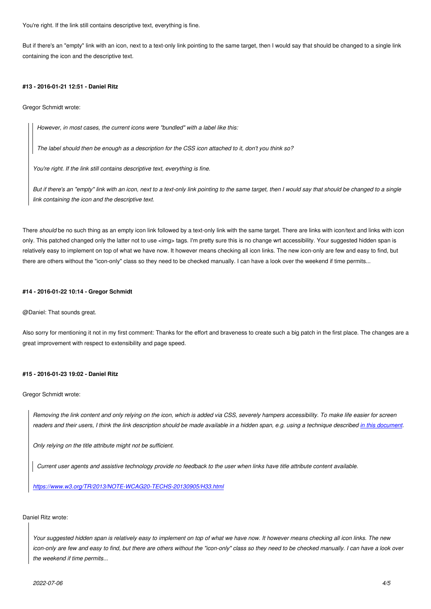But if there's an "empty" link with an icon, next to a text-only link pointing to the same target, then I would say that should be changed to a single link containing the icon and the descriptive text.

#### **#13 - 2016-01-21 12:51 - Daniel Ritz**

Gregor Schmidt wrote:

*However, in most cases, the current icons were "bundled" with a label like this:*

*The label should then be enough as a description for the CSS icon attached to it, don't you think so?*

*You're right. If the link still contains descriptive text, everything is fine.*

*But if there's an "empty" link with an icon, next to a text-only link pointing to the same target, then I would say that should be changed to a single link containing the icon and the descriptive text.*

There should be no such thing as an empty icon link followed by a text-only link with the same target. There are links with icon/text and links with icon only. This patched changed only the latter not to use <img> tags. I'm pretty sure this is no change wrt accessibility. Your suggested hidden span is relatively easy to implement on top of what we have now. It however means checking all icon links. The new icon-only are few and easy to find, but there are others without the "icon-only" class so they need to be checked manually. I can have a look over the weekend if time permits...

#### **#14 - 2016-01-22 10:14 - Gregor Schmidt**

@Daniel: That sounds great.

Also sorry for mentioning it not in my first comment: Thanks for the effort and braveness to create such a big patch in the first place. The changes are a great improvement with respect to extensibility and page speed.

#### **#15 - 2016-01-23 19:02 - Daniel Ritz**

Gregor Schmidt wrote:

*Removing the link content and only relying on the icon, which is added via CSS, severely hampers accessibility. To make life easier for screen readers and their users, I think the link description should be made available in a hidden span, e.g. using a technique described in this document.*

*Only relying on the title attribute might not be sufficient.*

*Current user agents and assistive technology provide no feedback to the user when links have title attribute content available.*

*https://www.w3.org/TR/2013/NOTE-WCAG20-TECHS-20130905/H33.html*

#### Da[niel Ritz wrote:](https://www.w3.org/TR/2013/NOTE-WCAG20-TECHS-20130905/H33.html)

*Your suggested hidden span is relatively easy to implement on top of what we have now. It however means checking all icon links. The new icon-only are few and easy to find, but there are others without the "icon-only" class so they need to be checked manually. I can have a look over the weekend if time permits...*